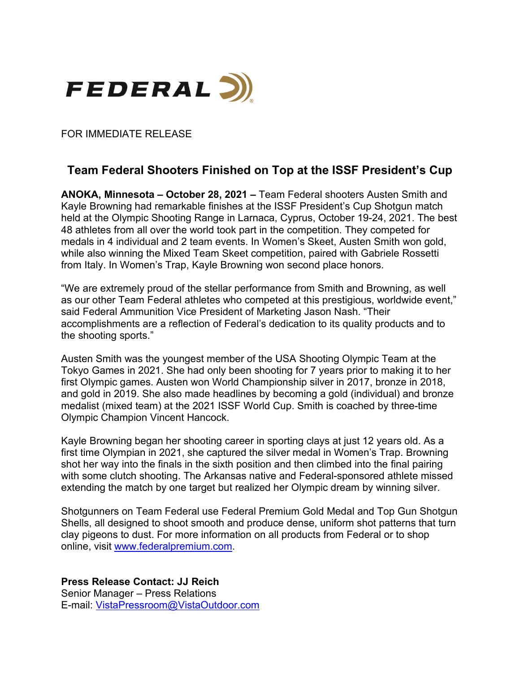

FOR IMMEDIATE RELEASE

## **Team Federal Shooters Finished on Top at the ISSF President's Cup**

**ANOKA, Minnesota – October 28, 2021 –** Team Federal shooters Austen Smith and Kayle Browning had remarkable finishes at the ISSF President's Cup Shotgun match held at the Olympic Shooting Range in Larnaca, Cyprus, October 19-24, 2021. The best 48 athletes from all over the world took part in the competition. They competed for medals in 4 individual and 2 team events. In Women's Skeet, Austen Smith won gold, while also winning the Mixed Team Skeet competition, paired with Gabriele Rossetti from Italy. In Women's Trap, Kayle Browning won second place honors.

"We are extremely proud of the stellar performance from Smith and Browning, as well as our other Team Federal athletes who competed at this prestigious, worldwide event," said Federal Ammunition Vice President of Marketing Jason Nash. "Their accomplishments are a reflection of Federal's dedication to its quality products and to the shooting sports."

Austen Smith was the youngest member of the USA Shooting Olympic Team at the Tokyo Games in 2021. She had only been shooting for 7 years prior to making it to her first Olympic games. Austen won World Championship silver in 2017, bronze in 2018, and gold in 2019. She also made headlines by becoming a gold (individual) and bronze medalist (mixed team) at the 2021 ISSF World Cup. Smith is coached by three-time Olympic Champion Vincent Hancock.

Kayle Browning began her shooting career in sporting clays at just 12 years old. As a first time Olympian in 2021, she captured the silver medal in Women's Trap. Browning shot her way into the finals in the sixth position and then climbed into the final pairing with some clutch shooting. The Arkansas native and Federal-sponsored athlete missed extending the match by one target but realized her Olympic dream by winning silver.

Shotgunners on Team Federal use Federal Premium Gold Medal and Top Gun Shotgun Shells, all designed to shoot smooth and produce dense, uniform shot patterns that turn clay pigeons to dust. For more information on all products from Federal or to shop online, visit [www.federalpremium.com.](http://www.federalpremium.com/)

**Press Release Contact: JJ Reich** Senior Manager – Press Relations E-mail: [VistaPressroom@VistaOutdoor.com](mailto:VistaPressroom@VistaOutdoor.com)